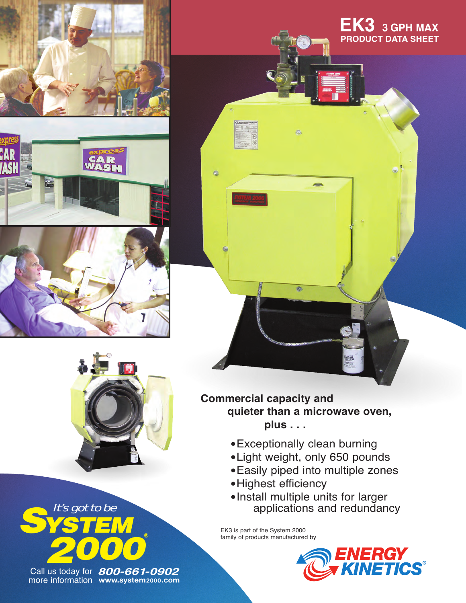







*Sis got to be 2000* It's got to be **®**

**www.system2000.com** more information Call us today for **800-661-0902** **EK3 3 GPH MAX PRODUCT DATA SHEET**

## **Commercial capacity and quieter than a microwave oven, plus . . .**

Ø.

- •Exceptionally clean burning
- •Light weight, only 650 pounds
- •Easily piped into multiple zones
- •Highest efficiency
- •Install multiple units for larger applications and redundancy

EK3 is part of the System 2000 family of products manufactured by